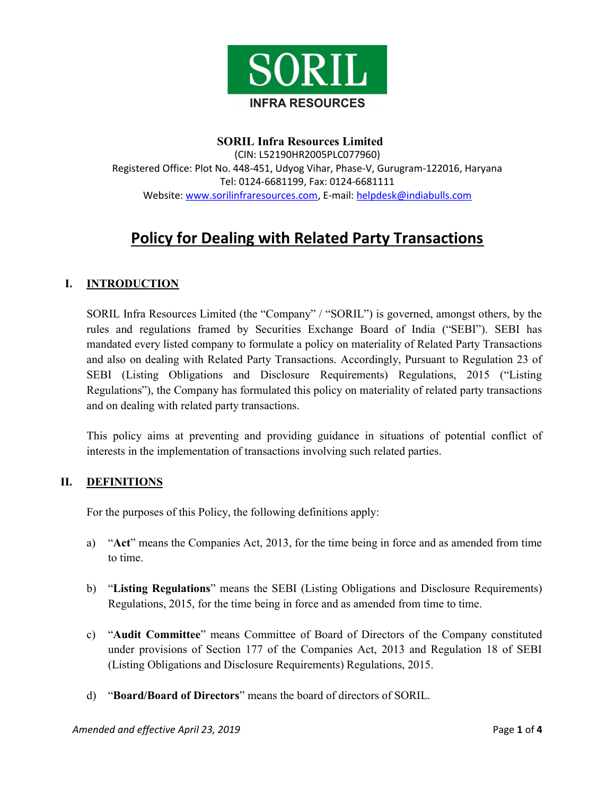

### SORIL Infra Resources Limited

(CIN: L52190HR2005PLC077960) Registered Office: Plot No. 448-451, Udyog Vihar, Phase-V, Gurugram-122016, Haryana Tel: 0124-6681199, Fax: 0124-6681111 Website: www.sorilinfraresources.com, E-mail: helpdesk@indiabulls.com

# Policy for Dealing with Related Party Transactions

#### I. INTRODUCTION

SORIL Infra Resources Limited (the "Company" / "SORIL") is governed, amongst others, by the rules and regulations framed by Securities Exchange Board of India ("SEBI"). SEBI has mandated every listed company to formulate a policy on materiality of Related Party Transactions and also on dealing with Related Party Transactions. Accordingly, Pursuant to Regulation 23 of SEBI (Listing Obligations and Disclosure Requirements) Regulations, 2015 ("Listing Regulations"), the Company has formulated this policy on materiality of related party transactions and on dealing with related party transactions.

This policy aims at preventing and providing guidance in situations of potential conflict of interests in the implementation of transactions involving such related parties.

#### II. DEFINITIONS

For the purposes of this Policy, the following definitions apply:

- a) "Act" means the Companies Act, 2013, for the time being in force and as amended from time to time.
- b) "Listing Regulations" means the SEBI (Listing Obligations and Disclosure Requirements) Regulations, 2015, for the time being in force and as amended from time to time.
- c) "Audit Committee" means Committee of Board of Directors of the Company constituted under provisions of Section 177 of the Companies Act, 2013 and Regulation 18 of SEBI (Listing Obligations and Disclosure Requirements) Regulations, 2015.
- d) "Board/Board of Directors" means the board of directors of SORIL.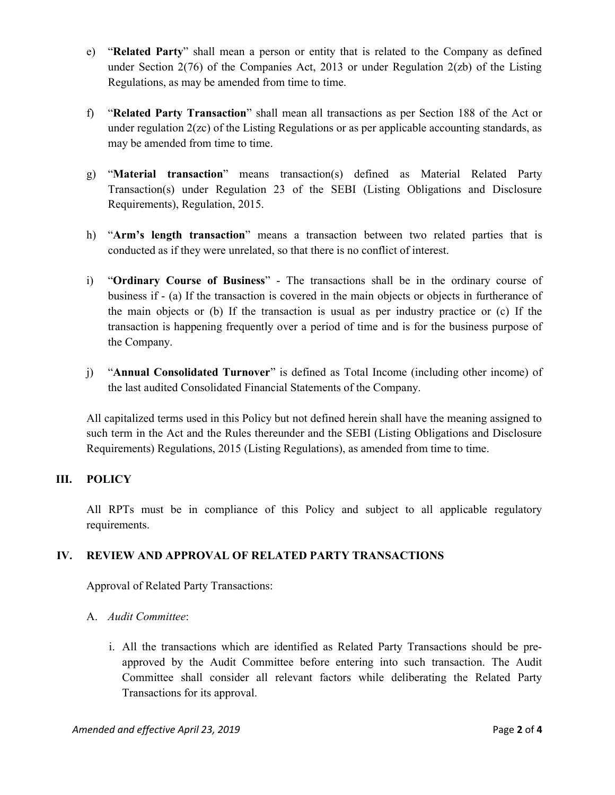- e) "Related Party" shall mean a person or entity that is related to the Company as defined under Section  $2(76)$  of the Companies Act, 2013 or under Regulation  $2(zb)$  of the Listing Regulations, as may be amended from time to time.
- f) "Related Party Transaction" shall mean all transactions as per Section 188 of the Act or under regulation 2(zc) of the Listing Regulations or as per applicable accounting standards, as may be amended from time to time.
- g) "Material transaction" means transaction(s) defined as Material Related Party Transaction(s) under Regulation 23 of the SEBI (Listing Obligations and Disclosure Requirements), Regulation, 2015.
- h) "Arm's length transaction" means a transaction between two related parties that is conducted as if they were unrelated, so that there is no conflict of interest.
- i) "Ordinary Course of Business" The transactions shall be in the ordinary course of business if - (a) If the transaction is covered in the main objects or objects in furtherance of the main objects or (b) If the transaction is usual as per industry practice or (c) If the transaction is happening frequently over a period of time and is for the business purpose of the Company.
- j) "Annual Consolidated Turnover" is defined as Total Income (including other income) of the last audited Consolidated Financial Statements of the Company.

All capitalized terms used in this Policy but not defined herein shall have the meaning assigned to such term in the Act and the Rules thereunder and the SEBI (Listing Obligations and Disclosure Requirements) Regulations, 2015 (Listing Regulations), as amended from time to time.

# III. POLICY

All RPTs must be in compliance of this Policy and subject to all applicable regulatory requirements.

# IV. REVIEW AND APPROVAL OF RELATED PARTY TRANSACTIONS

Approval of Related Party Transactions:

#### A. Audit Committee:

i. All the transactions which are identified as Related Party Transactions should be preapproved by the Audit Committee before entering into such transaction. The Audit Committee shall consider all relevant factors while deliberating the Related Party Transactions for its approval.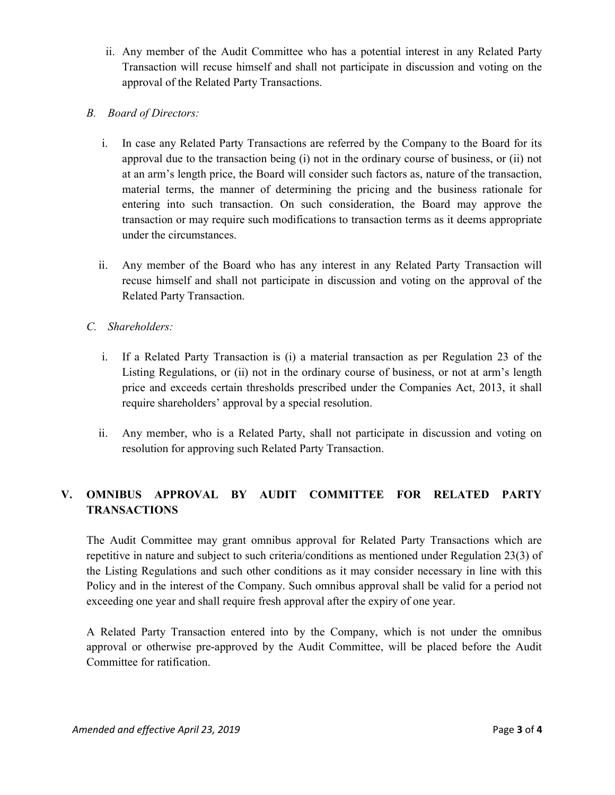- ii. Any member of the Audit Committee who has a potential interest in any Related Party Transaction will recuse himself and shall not participate in discussion and voting on the approval of the Related Party Transactions.
- B. Board of Directors:
	- i. In case any Related Party Transactions are referred by the Company to the Board for its approval due to the transaction being (i) not in the ordinary course of business, or (ii) not at an arm's length price, the Board will consider such factors as, nature of the transaction, material terms, the manner of determining the pricing and the business rationale for entering into such transaction. On such consideration, the Board may approve the transaction or may require such modifications to transaction terms as it deems appropriate under the circumstances.
	- ii. Any member of the Board who has any interest in any Related Party Transaction will recuse himself and shall not participate in discussion and voting on the approval of the Related Party Transaction.
- C. Shareholders:
	- i. If a Related Party Transaction is (i) a material transaction as per Regulation 23 of the Listing Regulations, or (ii) not in the ordinary course of business, or not at arm's length price and exceeds certain thresholds prescribed under the Companies Act, 2013, it shall require shareholders' approval by a special resolution.
	- ii. Any member, who is a Related Party, shall not participate in discussion and voting on resolution for approving such Related Party Transaction.

# V. OMNIBUS APPROVAL BY AUDIT COMMITTEE FOR RELATED PARTY **TRANSACTIONS**

The Audit Committee may grant omnibus approval for Related Party Transactions which are repetitive in nature and subject to such criteria/conditions as mentioned under Regulation 23(3) of the Listing Regulations and such other conditions as it may consider necessary in line with this Policy and in the interest of the Company. Such omnibus approval shall be valid for a period not exceeding one year and shall require fresh approval after the expiry of one year.

A Related Party Transaction entered into by the Company, which is not under the omnibus approval or otherwise pre-approved by the Audit Committee, will be placed before the Audit Committee for ratification.